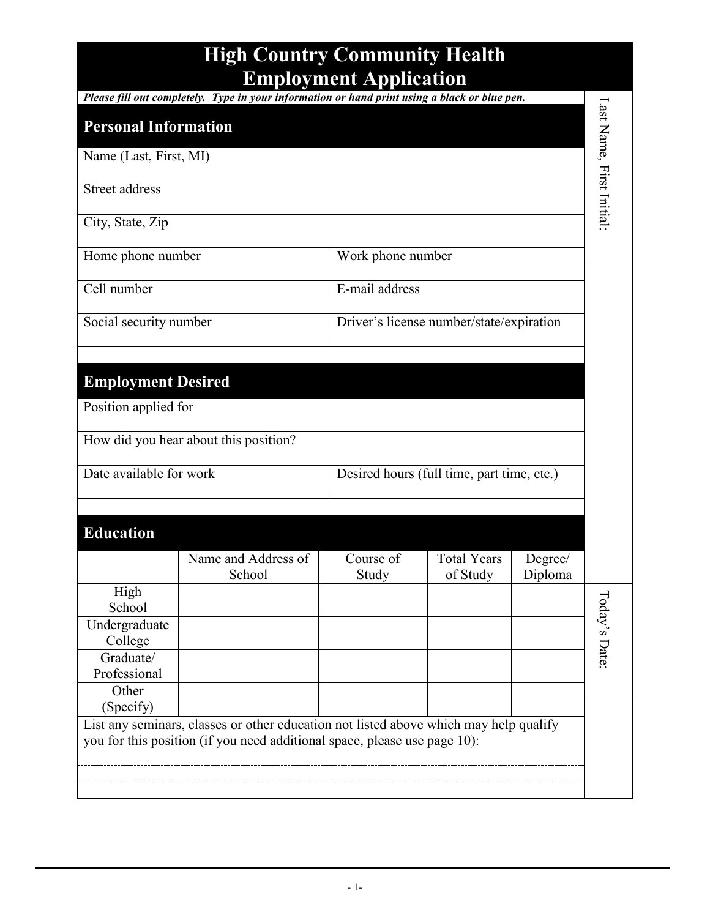|                                                                                                                                                                    |                                                                                               | <b>Employment Application</b> |                                          |                    |                           |
|--------------------------------------------------------------------------------------------------------------------------------------------------------------------|-----------------------------------------------------------------------------------------------|-------------------------------|------------------------------------------|--------------------|---------------------------|
|                                                                                                                                                                    | Please fill out completely. Type in your information or hand print using a black or blue pen. |                               |                                          |                    |                           |
| <b>Personal Information</b>                                                                                                                                        |                                                                                               |                               |                                          |                    |                           |
| Name (Last, First, MI)                                                                                                                                             |                                                                                               |                               |                                          |                    |                           |
| <b>Street address</b>                                                                                                                                              |                                                                                               |                               |                                          |                    | Last Name, First Initial: |
| City, State, Zip                                                                                                                                                   |                                                                                               |                               |                                          |                    |                           |
| Home phone number                                                                                                                                                  |                                                                                               | Work phone number             |                                          |                    |                           |
| Cell number                                                                                                                                                        |                                                                                               |                               | E-mail address                           |                    |                           |
| Social security number                                                                                                                                             |                                                                                               |                               | Driver's license number/state/expiration |                    |                           |
|                                                                                                                                                                    |                                                                                               |                               |                                          |                    |                           |
| <b>Employment Desired</b>                                                                                                                                          |                                                                                               |                               |                                          |                    |                           |
| Position applied for                                                                                                                                               |                                                                                               |                               |                                          |                    |                           |
|                                                                                                                                                                    | How did you hear about this position?                                                         |                               |                                          |                    |                           |
| Date available for work<br>Desired hours (full time, part time, etc.)                                                                                              |                                                                                               |                               |                                          |                    |                           |
|                                                                                                                                                                    |                                                                                               |                               |                                          |                    |                           |
| <b>Education</b>                                                                                                                                                   |                                                                                               |                               |                                          |                    |                           |
|                                                                                                                                                                    | Name and Address of<br>School                                                                 | Course of<br>Study            | <b>Total Years</b><br>of Study           | Degree/<br>Diploma |                           |
| High<br>School                                                                                                                                                     |                                                                                               |                               |                                          |                    |                           |
| Undergraduate<br>College                                                                                                                                           |                                                                                               |                               |                                          |                    | Today's Date:             |
| Graduate/<br>Professional                                                                                                                                          |                                                                                               |                               |                                          |                    |                           |
| Other<br>(Specify)                                                                                                                                                 |                                                                                               |                               |                                          |                    |                           |
| List any seminars, classes or other education not listed above which may help qualify<br>you for this position (if you need additional space, please use page 10): |                                                                                               |                               |                                          |                    |                           |
|                                                                                                                                                                    |                                                                                               |                               |                                          |                    |                           |
|                                                                                                                                                                    |                                                                                               |                               |                                          |                    |                           |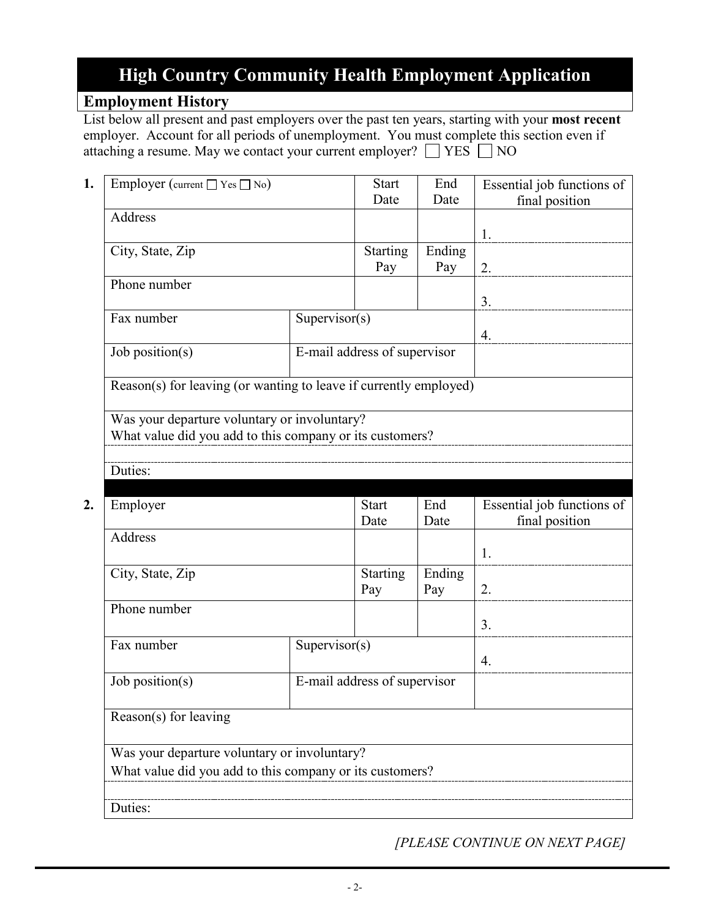### **Employment History**

List below all present and past employers over the past ten years, starting with your **most recent** employer. Account for all periods of unemployment. You must complete this section even if attaching a resume. May we contact your current employer?  $\Box$  YES  $\Box$  NO

| 1. | Employer (current $\Box$ Yes $\Box$ No)                                                                  |                              | <b>Start</b><br>Date         | End<br>Date   | Essential job functions of |
|----|----------------------------------------------------------------------------------------------------------|------------------------------|------------------------------|---------------|----------------------------|
|    | Address                                                                                                  |                              |                              |               | final position             |
|    |                                                                                                          |                              |                              |               | 1.                         |
|    | City, State, Zip                                                                                         |                              | Starting                     | Ending        |                            |
|    |                                                                                                          |                              | Pay                          | Pay           | 2.                         |
|    | Phone number                                                                                             |                              |                              |               |                            |
|    | Fax number<br>Supervisor(s)                                                                              |                              |                              |               | 3.                         |
|    |                                                                                                          |                              |                              |               | 4.                         |
|    | Job position(s)                                                                                          |                              | E-mail address of supervisor |               |                            |
|    | Reason(s) for leaving (or wanting to leave if currently employed)                                        |                              |                              |               |                            |
|    | Was your departure voluntary or involuntary?<br>What value did you add to this company or its customers? |                              |                              |               |                            |
|    | Duties:                                                                                                  |                              |                              |               |                            |
| 2. | Employer                                                                                                 |                              | <b>Start</b>                 | End           | Essential job functions of |
|    |                                                                                                          |                              | Date                         | Date          | final position             |
|    | Address                                                                                                  |                              |                              |               | 1.                         |
|    | City, State, Zip                                                                                         |                              | <b>Starting</b><br>Pay       | Ending<br>Pay | 2.                         |
|    | Phone number                                                                                             |                              |                              |               |                            |
|    |                                                                                                          |                              |                              |               | 3.                         |
|    | Fax number                                                                                               | Supervisor(s)                |                              |               | 4.                         |
|    | Job position(s)                                                                                          | E-mail address of supervisor |                              |               |                            |
|    | Reason(s) for leaving                                                                                    |                              |                              |               |                            |
|    | Was your departure voluntary or involuntary?                                                             |                              |                              |               |                            |
|    | What value did you add to this company or its customers?                                                 |                              |                              |               |                            |
|    |                                                                                                          |                              |                              |               |                            |
|    |                                                                                                          |                              |                              |               |                            |

*[PLEASE CONTINUE ON NEXT PAGE]*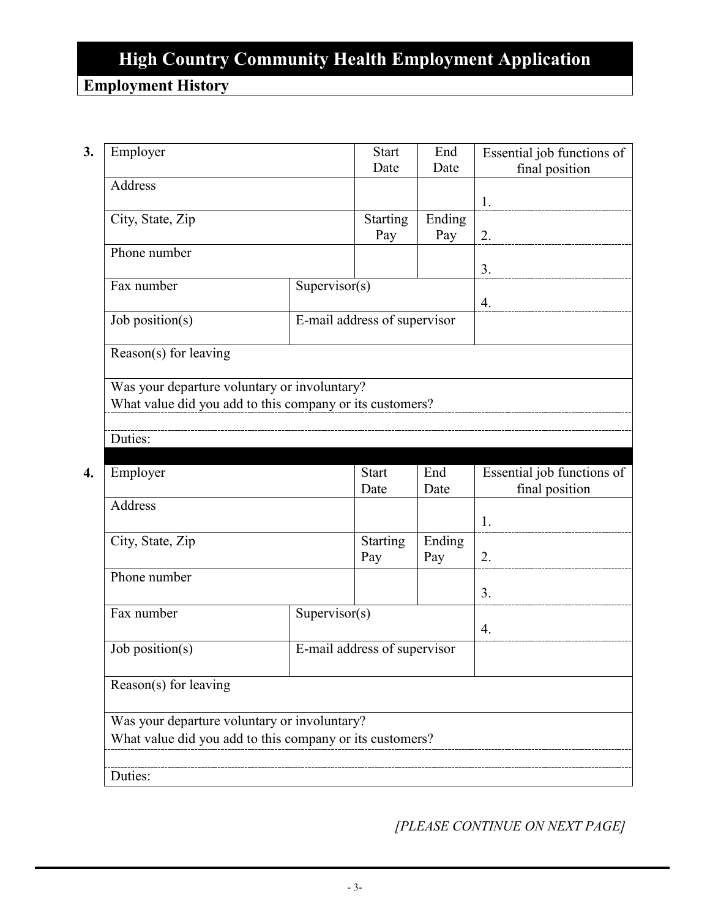## **Employment History**

**3.** Employer Start Date End Date Essential job functions of final position Address 1. City, State, Zip Starting Pay Ending Pay  $\vert$  2. Phone number 3. Fax number Supervisor(s) 4. Job position(s) E-mail address of supervisor Reason(s) for leaving Was your departure voluntary or involuntary? What value did you add to this company or its customers? Duties: **4.** Employer Start Date End Date Essential job functions of final position Address 1. City, State, Zip Starting Pay Ending Pay  $\vert$  2. Phone number 3. Fax number Supervisor(s) 4. Job position(s) E-mail address of supervisor Reason(s) for leaving Was your departure voluntary or involuntary? What value did you add to this company or its customers? Duties:

*[PLEASE CONTINUE ON NEXT PAGE]*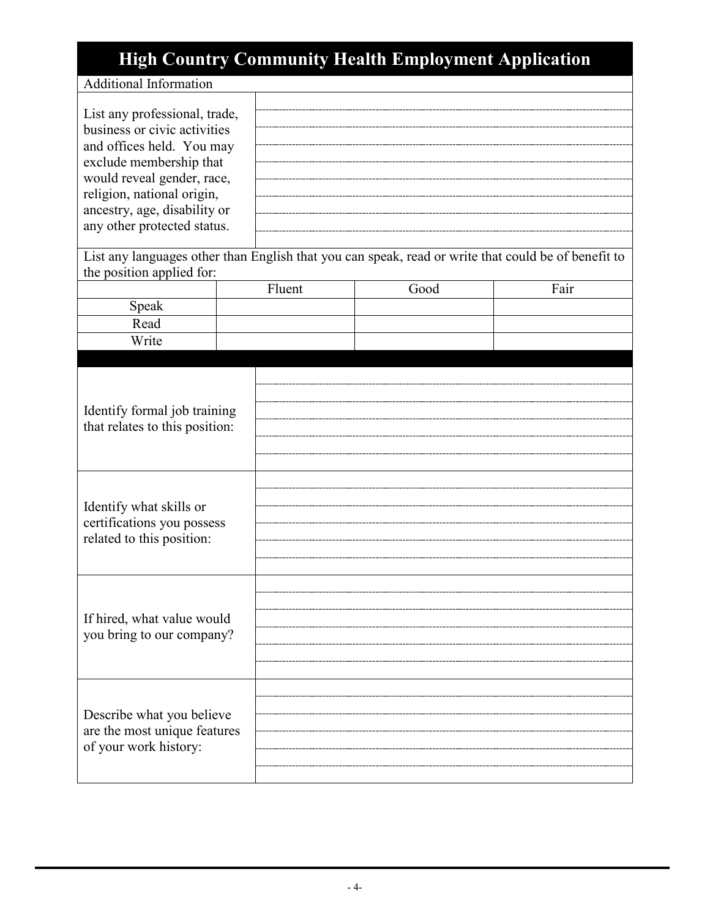## Additional Information

| List any professional, trade,<br>business or civic activities<br>and offices held. You may<br>exclude membership that<br>would reveal gender, race,<br>religion, national origin,<br>ancestry, age, disability or<br>any other protected status. |        | List any languages other than English that you can speak, read or write that could be of benefit to |      |
|--------------------------------------------------------------------------------------------------------------------------------------------------------------------------------------------------------------------------------------------------|--------|-----------------------------------------------------------------------------------------------------|------|
| the position applied for:                                                                                                                                                                                                                        |        |                                                                                                     |      |
|                                                                                                                                                                                                                                                  | Fluent | Good                                                                                                | Fair |
| Speak                                                                                                                                                                                                                                            |        |                                                                                                     |      |
| Read                                                                                                                                                                                                                                             |        |                                                                                                     |      |
| Write                                                                                                                                                                                                                                            |        |                                                                                                     |      |
|                                                                                                                                                                                                                                                  |        |                                                                                                     |      |
| Identify formal job training<br>that relates to this position:<br>Identify what skills or                                                                                                                                                        |        |                                                                                                     |      |
| certifications you possess<br>related to this position:                                                                                                                                                                                          |        |                                                                                                     |      |
| If hired, what value would<br>you bring to our company?                                                                                                                                                                                          |        |                                                                                                     |      |
| Describe what you believe<br>are the most unique features<br>of your work history:                                                                                                                                                               |        |                                                                                                     |      |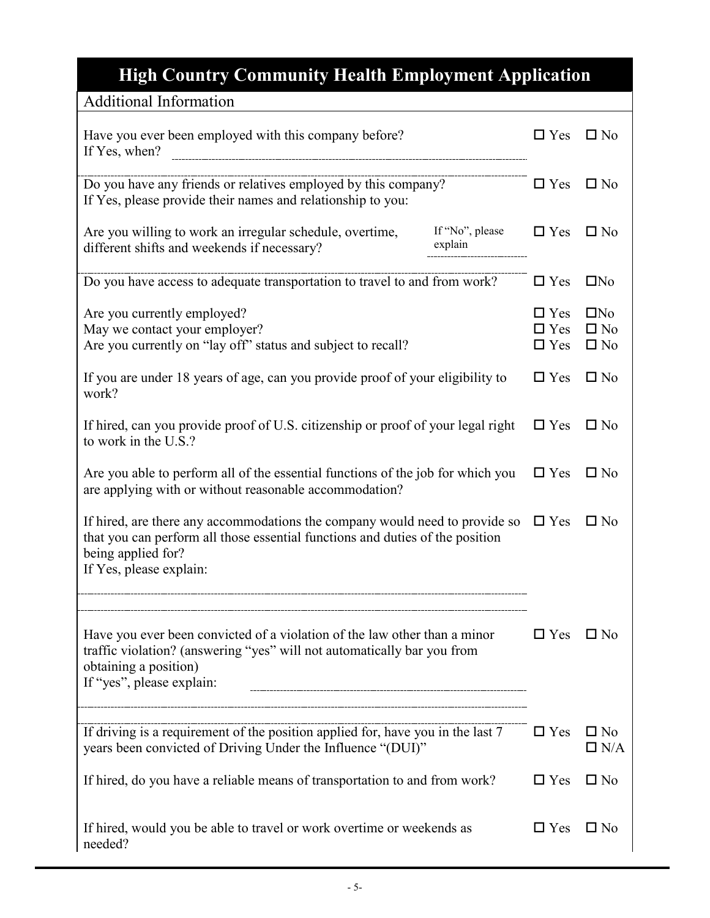| <b>Additional Information</b>                                                                                                                                                                                 |                                                 |                                           |
|---------------------------------------------------------------------------------------------------------------------------------------------------------------------------------------------------------------|-------------------------------------------------|-------------------------------------------|
| Have you ever been employed with this company before?<br>If Yes, when?                                                                                                                                        | $\Box$ Yes                                      | $\square$ No                              |
| Do you have any friends or relatives employed by this company?<br>If Yes, please provide their names and relationship to you:                                                                                 | $\Box$ Yes                                      | $\square$ No                              |
| If "No", please<br>Are you willing to work an irregular schedule, overtime,<br>explain<br>different shifts and weekends if necessary?                                                                         | $\Box$ Yes                                      | $\square$ No                              |
| Do you have access to adequate transportation to travel to and from work?                                                                                                                                     | $\Box$ Yes                                      | $\Box$ No                                 |
| Are you currently employed?<br>May we contact your employer?<br>Are you currently on "lay off" status and subject to recall?                                                                                  | $\hfill\Box$<br>Yes<br>$\Box$ Yes<br>$\Box$ Yes | $\Box$ No<br>$\square$ No<br>$\square$ No |
| If you are under 18 years of age, can you provide proof of your eligibility to<br>work?                                                                                                                       | $\Box$ Yes                                      | $\square$ No                              |
| If hired, can you provide proof of U.S. citizenship or proof of your legal right<br>to work in the U.S.?                                                                                                      | $\Box$ Yes                                      | $\square$ No                              |
| Are you able to perform all of the essential functions of the job for which you<br>are applying with or without reasonable accommodation?                                                                     | $\Box$ Yes                                      | $\square$ No                              |
| If hired, are there any accommodations the company would need to provide so<br>that you can perform all those essential functions and duties of the position<br>being applied for?<br>If Yes, please explain: | $\Box$ Yes                                      | $\square$ No                              |
| Have you ever been convicted of a violation of the law other than a minor<br>traffic violation? (answering "yes" will not automatically bar you from<br>obtaining a position)<br>If "yes", please explain:    | $\Box$ Yes                                      | $\square$ No                              |
| If driving is a requirement of the position applied for, have you in the last 7<br>years been convicted of Driving Under the Influence "(DUI)"                                                                | $\Box$ Yes                                      | $\square$ No<br>$\Box$ N/A                |
| If hired, do you have a reliable means of transportation to and from work?                                                                                                                                    | $\Box$ Yes                                      | $\Box$ No                                 |
| If hired, would you be able to travel or work overtime or weekends as<br>needed?                                                                                                                              | $\Box$ Yes                                      | $\square$ No                              |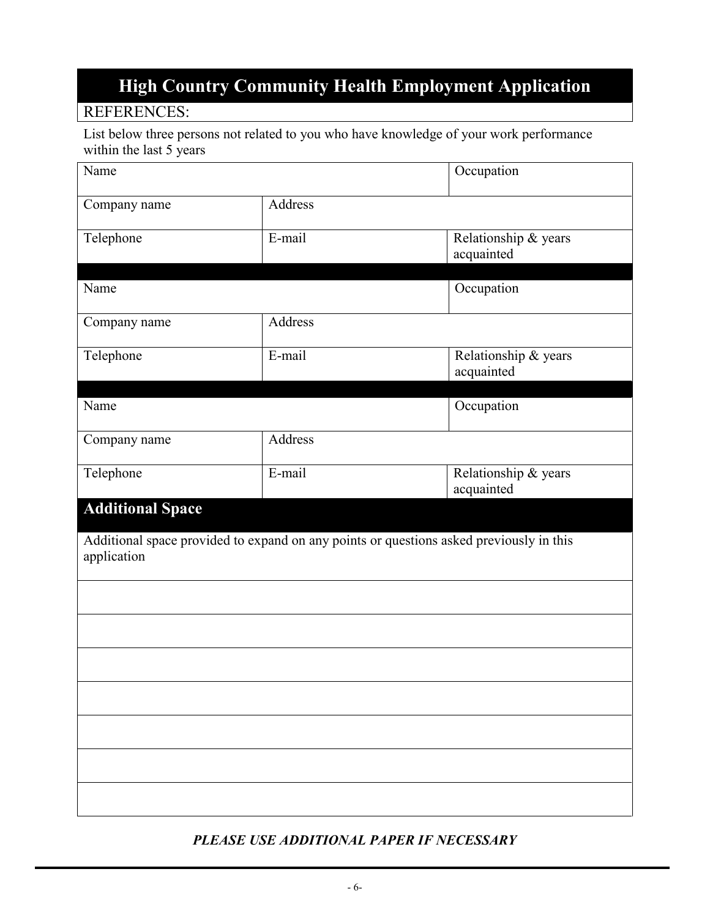## REFERENCES:

List below three persons not related to you who have knowledge of your work performance within the last 5 years

| Name                                                                                                   |           | Occupation                         |  |
|--------------------------------------------------------------------------------------------------------|-----------|------------------------------------|--|
| Company name                                                                                           | Address   |                                    |  |
| Telephone                                                                                              | $E$ -mail | Relationship & years<br>acquainted |  |
| Name                                                                                                   |           | Occupation                         |  |
| Company name                                                                                           | Address   |                                    |  |
| Telephone                                                                                              | E-mail    | Relationship & years<br>acquainted |  |
| Name                                                                                                   |           | Occupation                         |  |
| Company name                                                                                           | Address   |                                    |  |
| Telephone                                                                                              | E-mail    | Relationship & years<br>acquainted |  |
| <b>Additional Space</b>                                                                                |           |                                    |  |
| Additional space provided to expand on any points or questions asked previously in this<br>application |           |                                    |  |
|                                                                                                        |           |                                    |  |
|                                                                                                        |           |                                    |  |
|                                                                                                        |           |                                    |  |
|                                                                                                        |           |                                    |  |
|                                                                                                        |           |                                    |  |
|                                                                                                        |           |                                    |  |
|                                                                                                        |           |                                    |  |

### *PLEASE USE ADDITIONAL PAPER IF NECESSARY*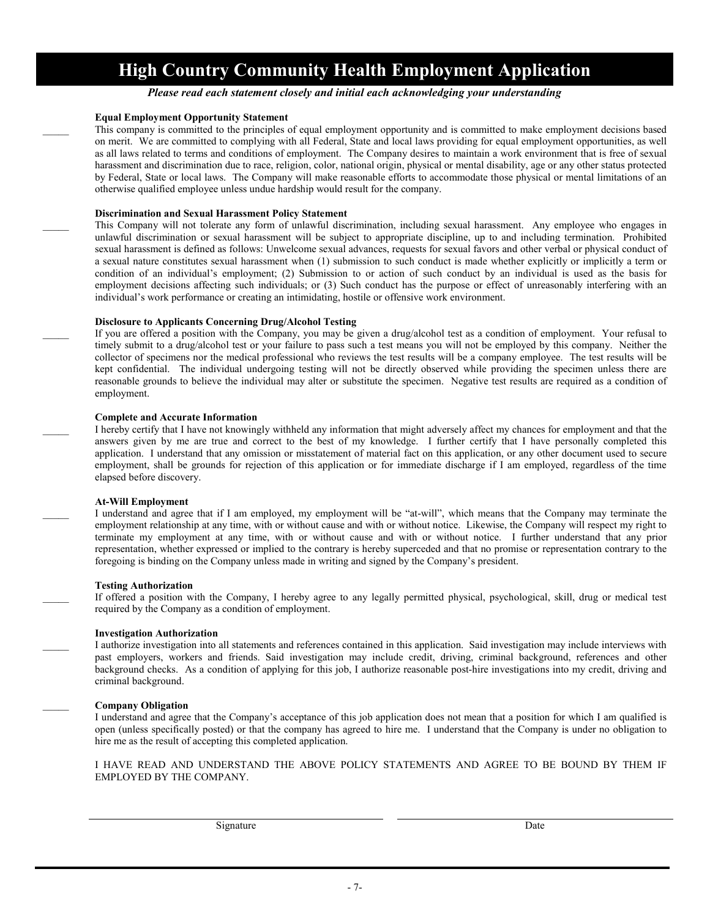*Please read each statement closely and initial each acknowledging your understanding*

#### **Equal Employment Opportunity Statement**

This company is committed to the principles of equal employment opportunity and is committed to make employment decisions based on merit. We are committed to complying with all Federal, State and local laws providing for equal employment opportunities, as well as all laws related to terms and conditions of employment. The Company desires to maintain a work environment that is free of sexual harassment and discrimination due to race, religion, color, national origin, physical or mental disability, age or any other status protected by Federal, State or local laws. The Company will make reasonable efforts to accommodate those physical or mental limitations of an otherwise qualified employee unless undue hardship would result for the company.

#### **Discrimination and Sexual Harassment Policy Statement**

\_\_\_\_\_ This Company will not tolerate any form of unlawful discrimination, including sexual harassment. Any employee who engages in unlawful discrimination or sexual harassment will be subject to appropriate discipline, up to and including termination. Prohibited sexual harassment is defined as follows: Unwelcome sexual advances, requests for sexual favors and other verbal or physical conduct of a sexual nature constitutes sexual harassment when (1) submission to such conduct is made whether explicitly or implicitly a term or condition of an individual's employment; (2) Submission to or action of such conduct by an individual is used as the basis for employment decisions affecting such individuals; or (3) Such conduct has the purpose or effect of unreasonably interfering with an individual's work performance or creating an intimidating, hostile or offensive work environment.

#### **Disclosure to Applicants Concerning Drug/Alcohol Testing**

If you are offered a position with the Company, you may be given a drug/alcohol test as a condition of employment. Your refusal to timely submit to a drug/alcohol test or your failure to pass such a test means you will not be employed by this company. Neither the collector of specimens nor the medical professional who reviews the test results will be a company employee. The test results will be kept confidential. The individual undergoing testing will not be directly observed while providing the specimen unless there are reasonable grounds to believe the individual may alter or substitute the specimen. Negative test results are required as a condition of employment.

#### **Complete and Accurate Information**

I hereby certify that I have not knowingly withheld any information that might adversely affect my chances for employment and that the answers given by me are true and correct to the best of my knowledge. I further certify that I have personally completed this application. I understand that any omission or misstatement of material fact on this application, or any other document used to secure employment, shall be grounds for rejection of this application or for immediate discharge if I am employed, regardless of the time elapsed before discovery.

#### **At-Will Employment**

I understand and agree that if I am employed, my employment will be "at-will", which means that the Company may terminate the employment relationship at any time, with or without cause and with or without notice. Likewise, the Company will respect my right to terminate my employment at any time, with or without cause and with or without notice. I further understand that any prior representation, whether expressed or implied to the contrary is hereby superceded and that no promise or representation contrary to the foregoing is binding on the Company unless made in writing and signed by the Company's president.

#### **Testing Authorization**

If offered a position with the Company, I hereby agree to any legally permitted physical, psychological, skill, drug or medical test required by the Company as a condition of employment.

#### **Investigation Authorization**

I authorize investigation into all statements and references contained in this application. Said investigation may include interviews with past employers, workers and friends. Said investigation may include credit, driving, criminal background, references and other background checks. As a condition of applying for this job, I authorize reasonable post-hire investigations into my credit, driving and criminal background.

#### \_\_\_\_\_ **Company Obligation**

I understand and agree that the Company's acceptance of this job application does not mean that a position for which I am qualified is open (unless specifically posted) or that the company has agreed to hire me. I understand that the Company is under no obligation to hire me as the result of accepting this completed application.

#### I HAVE READ AND UNDERSTAND THE ABOVE POLICY STATEMENTS AND AGREE TO BE BOUND BY THEM IF EMPLOYED BY THE COMPANY.

Signature Date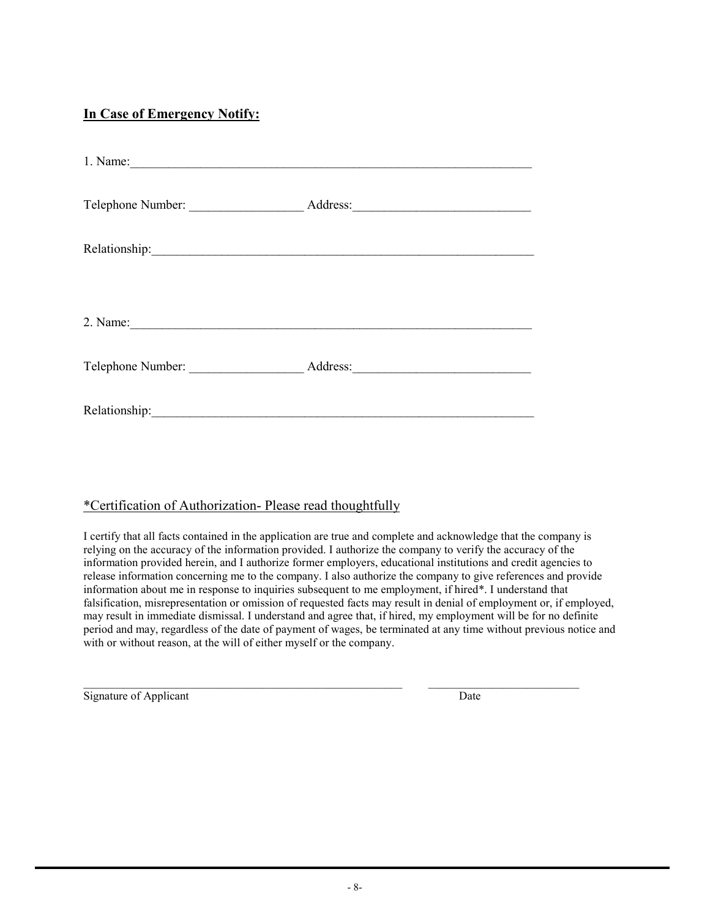### **In Case of Emergency Notify:**

| 1. Name:                                                                                                                                                                                                                       |          |  |  |  |
|--------------------------------------------------------------------------------------------------------------------------------------------------------------------------------------------------------------------------------|----------|--|--|--|
| Telephone Number:                                                                                                                                                                                                              | Address: |  |  |  |
| Relationship: New York Changes and Changes and Changes and Changes and Changes and Changes and Changes and Changes and Changes and Changes and Changes and Changes and Changes and Changes and Changes and Changes and Changes |          |  |  |  |
|                                                                                                                                                                                                                                |          |  |  |  |
| 2. Name: $\qquad \qquad$                                                                                                                                                                                                       |          |  |  |  |
| Telephone Number:                                                                                                                                                                                                              |          |  |  |  |
| Relationship:                                                                                                                                                                                                                  |          |  |  |  |

### \*Certification of Authorization- Please read thoughtfully

I certify that all facts contained in the application are true and complete and acknowledge that the company is relying on the accuracy of the information provided. I authorize the company to verify the accuracy of the information provided herein, and I authorize former employers, educational institutions and credit agencies to release information concerning me to the company. I also authorize the company to give references and provide information about me in response to inquiries subsequent to me employment, if hired\*. I understand that falsification, misrepresentation or omission of requested facts may result in denial of employment or, if employed, may result in immediate dismissal. I understand and agree that, if hired, my employment will be for no definite period and may, regardless of the date of payment of wages, be terminated at any time without previous notice and with or without reason, at the will of either myself or the company.

 $\mathcal{L}_\mathcal{L} = \mathcal{L}_\mathcal{L} = \mathcal{L}_\mathcal{L} = \mathcal{L}_\mathcal{L} = \mathcal{L}_\mathcal{L} = \mathcal{L}_\mathcal{L} = \mathcal{L}_\mathcal{L} = \mathcal{L}_\mathcal{L} = \mathcal{L}_\mathcal{L} = \mathcal{L}_\mathcal{L} = \mathcal{L}_\mathcal{L} = \mathcal{L}_\mathcal{L} = \mathcal{L}_\mathcal{L} = \mathcal{L}_\mathcal{L} = \mathcal{L}_\mathcal{L} = \mathcal{L}_\mathcal{L} = \mathcal{L}_\mathcal{L}$ Signature of Applicant Date